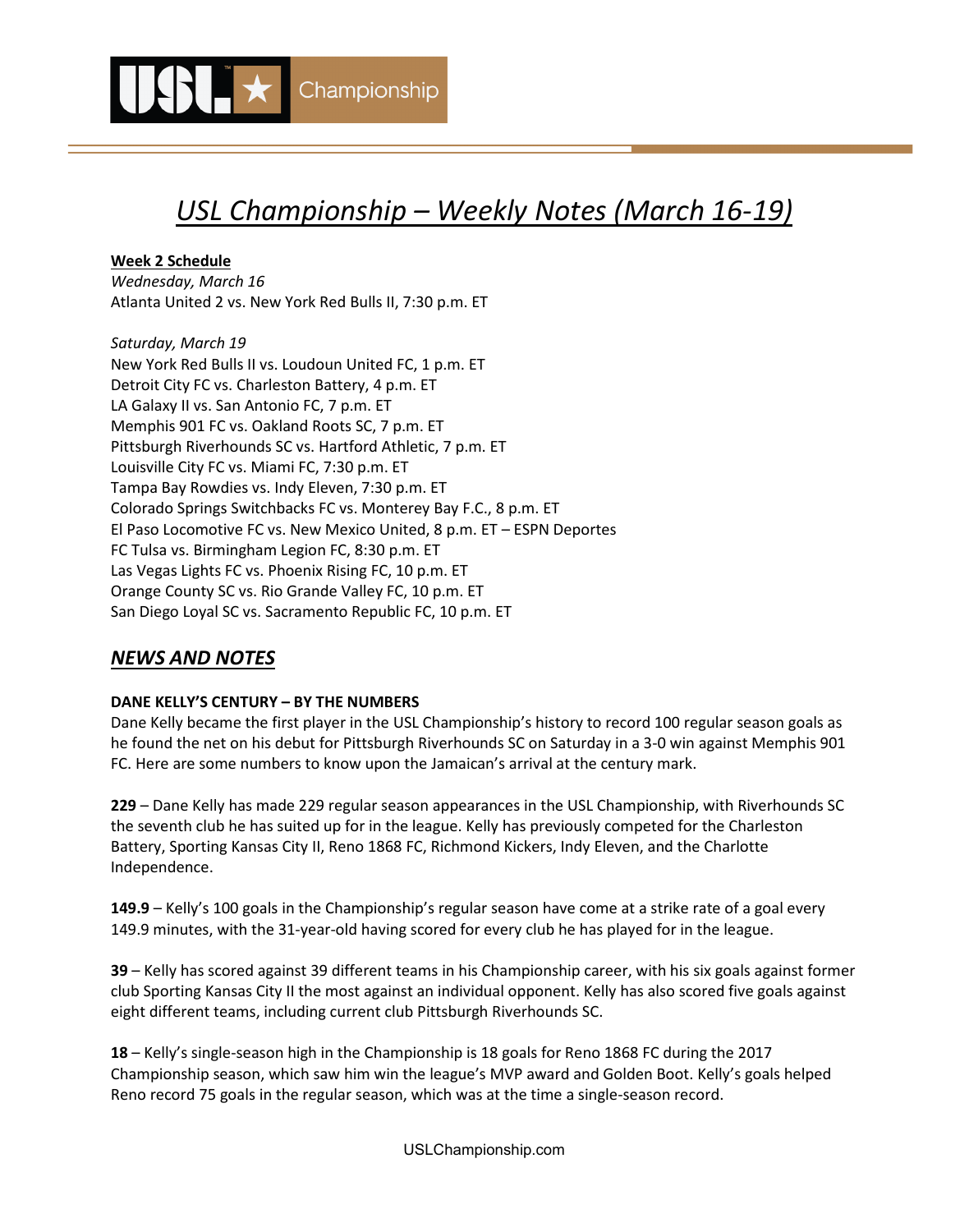

# *USL Championship – Weekly Notes (March 16-19)*

**Week 2 Schedule**

*Wednesday, March 16* Atlanta United 2 vs. New York Red Bulls II, 7:30 p.m. ET

*Saturday, March 19*  New York Red Bulls II vs. Loudoun United FC, 1 p.m. ET Detroit City FC vs. Charleston Battery, 4 p.m. ET LA Galaxy II vs. San Antonio FC, 7 p.m. ET Memphis 901 FC vs. Oakland Roots SC, 7 p.m. ET Pittsburgh Riverhounds SC vs. Hartford Athletic, 7 p.m. ET Louisville City FC vs. Miami FC, 7:30 p.m. ET Tampa Bay Rowdies vs. Indy Eleven, 7:30 p.m. ET Colorado Springs Switchbacks FC vs. Monterey Bay F.C., 8 p.m. ET El Paso Locomotive FC vs. New Mexico United, 8 p.m. ET – ESPN Deportes FC Tulsa vs. Birmingham Legion FC, 8:30 p.m. ET Las Vegas Lights FC vs. Phoenix Rising FC, 10 p.m. ET Orange County SC vs. Rio Grande Valley FC, 10 p.m. ET San Diego Loyal SC vs. Sacramento Republic FC, 10 p.m. ET

# *NEWS AND NOTES*

### **DANE KELLY'S CENTURY – BY THE NUMBERS**

Dane Kelly became the first player in the USL Championship's history to record 100 regular season goals as he found the net on his debut for Pittsburgh Riverhounds SC on Saturday in a 3-0 win against Memphis 901 FC. Here are some numbers to know upon the Jamaican's arrival at the century mark.

**229** – Dane Kelly has made 229 regular season appearances in the USL Championship, with Riverhounds SC the seventh club he has suited up for in the league. Kelly has previously competed for the Charleston Battery, Sporting Kansas City II, Reno 1868 FC, Richmond Kickers, Indy Eleven, and the Charlotte Independence.

**149.9** – Kelly's 100 goals in the Championship's regular season have come at a strike rate of a goal every 149.9 minutes, with the 31-year-old having scored for every club he has played for in the league.

**39** – Kelly has scored against 39 different teams in his Championship career, with his six goals against former club Sporting Kansas City II the most against an individual opponent. Kelly has also scored five goals against eight different teams, including current club Pittsburgh Riverhounds SC.

**18** – Kelly's single-season high in the Championship is 18 goals for Reno 1868 FC during the 2017 Championship season, which saw him win the league's MVP award and Golden Boot. Kelly's goals helped Reno record 75 goals in the regular season, which was at the time a single-season record.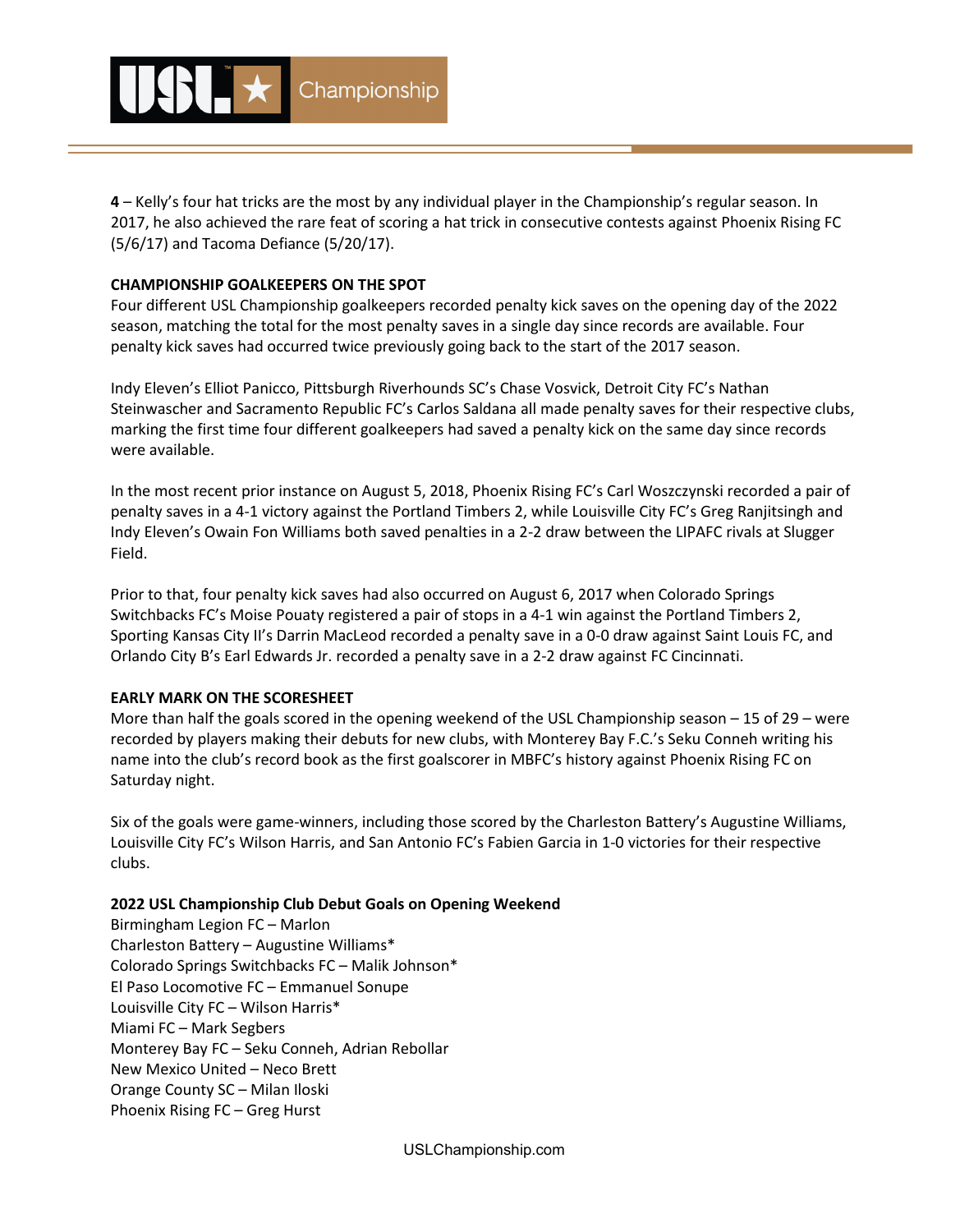

**4** – Kelly's four hat tricks are the most by any individual player in the Championship's regular season. In 2017, he also achieved the rare feat of scoring a hat trick in consecutive contests against Phoenix Rising FC (5/6/17) and Tacoma Defiance (5/20/17).

#### **CHAMPIONSHIP GOALKEEPERS ON THE SPOT**

Four different USL Championship goalkeepers recorded penalty kick saves on the opening day of the 2022 season, matching the total for the most penalty saves in a single day since records are available. Four penalty kick saves had occurred twice previously going back to the start of the 2017 season.

Indy Eleven's Elliot Panicco, Pittsburgh Riverhounds SC's Chase Vosvick, Detroit City FC's Nathan Steinwascher and Sacramento Republic FC's Carlos Saldana all made penalty saves for their respective clubs, marking the first time four different goalkeepers had saved a penalty kick on the same day since records were available.

In the most recent prior instance on August 5, 2018, Phoenix Rising FC's Carl Woszczynski recorded a pair of penalty saves in a 4-1 victory against the Portland Timbers 2, while Louisville City FC's Greg Ranjitsingh and Indy Eleven's Owain Fon Williams both saved penalties in a 2-2 draw between the LIPAFC rivals at Slugger Field.

Prior to that, four penalty kick saves had also occurred on August 6, 2017 when Colorado Springs Switchbacks FC's Moise Pouaty registered a pair of stops in a 4-1 win against the Portland Timbers 2, Sporting Kansas City II's Darrin MacLeod recorded a penalty save in a 0-0 draw against Saint Louis FC, and Orlando City B's Earl Edwards Jr. recorded a penalty save in a 2-2 draw against FC Cincinnati.

#### **EARLY MARK ON THE SCORESHEET**

More than half the goals scored in the opening weekend of the USL Championship season – 15 of 29 – were recorded by players making their debuts for new clubs, with Monterey Bay F.C.'s Seku Conneh writing his name into the club's record book as the first goalscorer in MBFC's history against Phoenix Rising FC on Saturday night.

Six of the goals were game-winners, including those scored by the Charleston Battery's Augustine Williams, Louisville City FC's Wilson Harris, and San Antonio FC's Fabien Garcia in 1-0 victories for their respective clubs.

#### **2022 USL Championship Club Debut Goals on Opening Weekend**

Birmingham Legion FC – Marlon Charleston Battery – Augustine Williams\* Colorado Springs Switchbacks FC – Malik Johnson\* El Paso Locomotive FC – Emmanuel Sonupe Louisville City FC – Wilson Harris\* Miami FC – Mark Segbers Monterey Bay FC – Seku Conneh, Adrian Rebollar New Mexico United – Neco Brett Orange County SC – Milan Iloski Phoenix Rising FC – Greg Hurst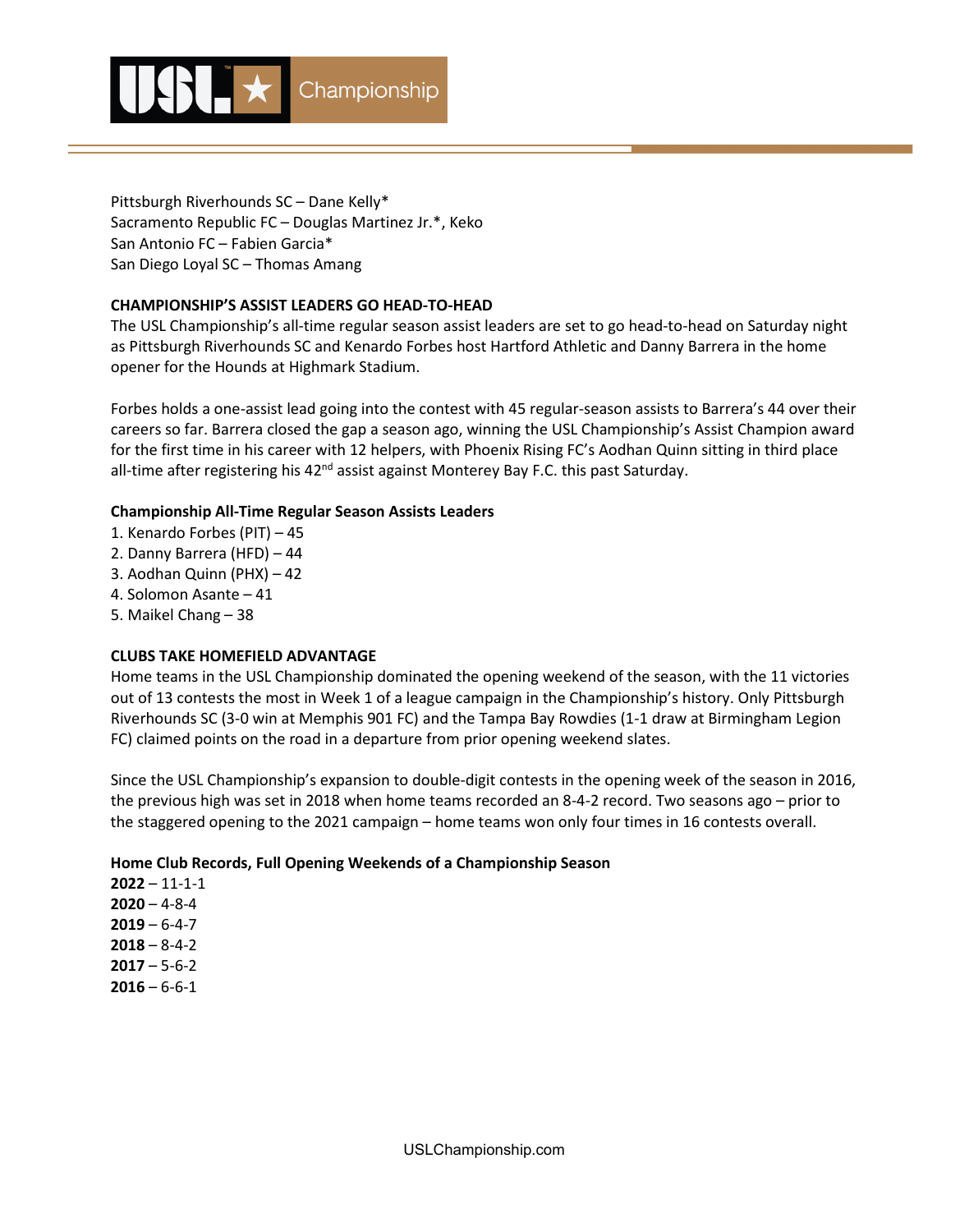

Pittsburgh Riverhounds SC – Dane Kelly\* Sacramento Republic FC – Douglas Martinez Jr.\*, Keko San Antonio FC – Fabien Garcia\* San Diego Loyal SC – Thomas Amang

#### **CHAMPIONSHIP'S ASSIST LEADERS GO HEAD-TO-HEAD**

The USL Championship's all-time regular season assist leaders are set to go head-to-head on Saturday night as Pittsburgh Riverhounds SC and Kenardo Forbes host Hartford Athletic and Danny Barrera in the home opener for the Hounds at Highmark Stadium.

Forbes holds a one-assist lead going into the contest with 45 regular-season assists to Barrera's 44 over their careers so far. Barrera closed the gap a season ago, winning the USL Championship's Assist Champion award for the first time in his career with 12 helpers, with Phoenix Rising FC's Aodhan Quinn sitting in third place all-time after registering his  $42<sup>nd</sup>$  assist against Monterey Bay F.C. this past Saturday.

#### **Championship All-Time Regular Season Assists Leaders**

- 1. Kenardo Forbes (PIT) 45
- 2. Danny Barrera (HFD) 44
- 3. Aodhan Quinn (PHX) 42
- 4. Solomon Asante 41
- 5. Maikel Chang 38

#### **CLUBS TAKE HOMEFIELD ADVANTAGE**

Home teams in the USL Championship dominated the opening weekend of the season, with the 11 victories out of 13 contests the most in Week 1 of a league campaign in the Championship's history. Only Pittsburgh Riverhounds SC (3-0 win at Memphis 901 FC) and the Tampa Bay Rowdies (1-1 draw at Birmingham Legion FC) claimed points on the road in a departure from prior opening weekend slates.

Since the USL Championship's expansion to double-digit contests in the opening week of the season in 2016, the previous high was set in 2018 when home teams recorded an 8-4-2 record. Two seasons ago – prior to the staggered opening to the 2021 campaign – home teams won only four times in 16 contests overall.

#### **Home Club Records, Full Opening Weekends of a Championship Season**

**2022** – 11-1-1 **2020** – 4-8-4 **2019** – 6-4-7 **2018** – 8-4-2 **2017** – 5-6-2 **2016** – 6-6-1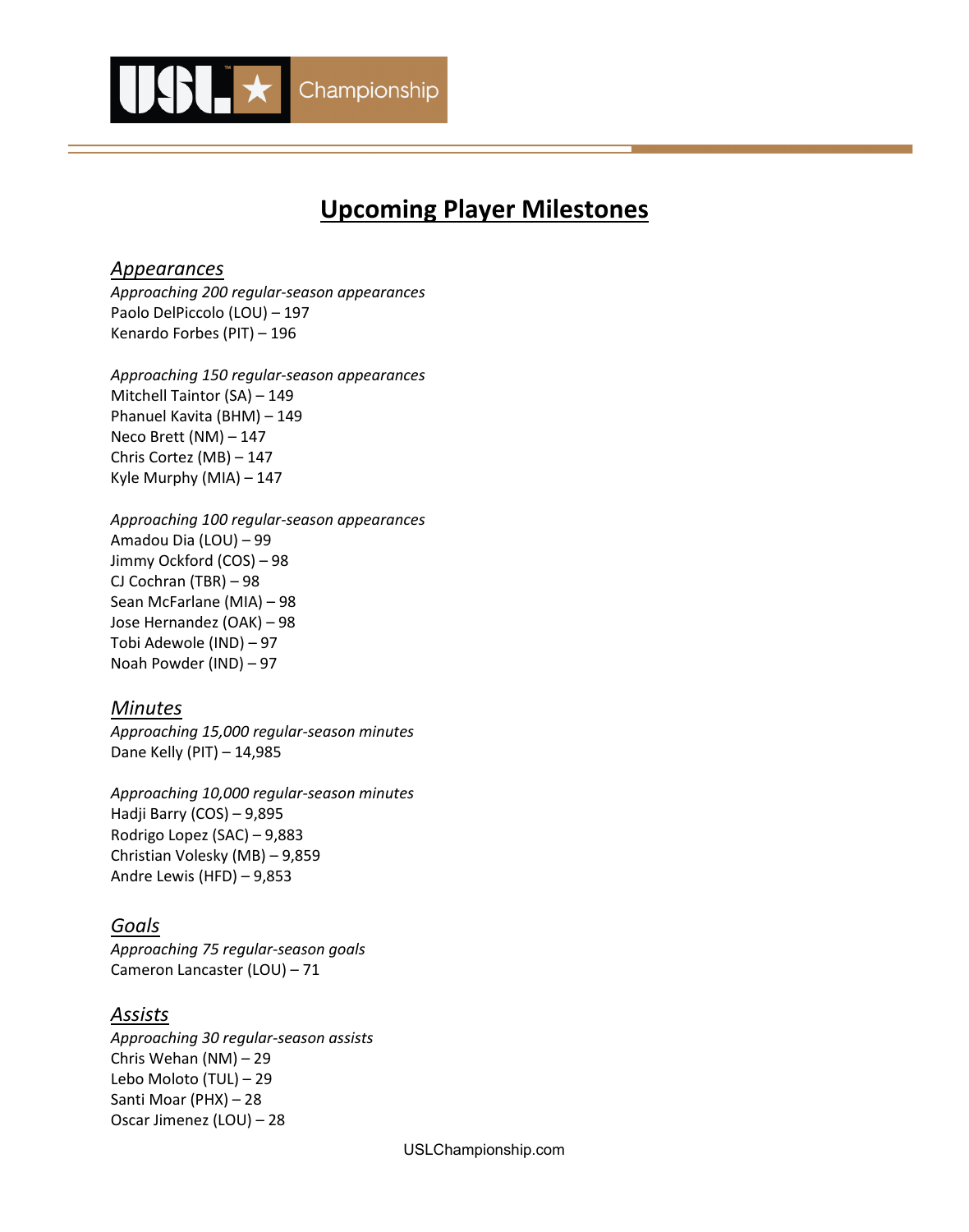

# **Upcoming Player Milestones**

## *Appearances*

*Approaching 200 regular-season appearances* Paolo DelPiccolo (LOU) – 197 Kenardo Forbes (PIT) – 196

*Approaching 150 regular-season appearances* Mitchell Taintor (SA) – 149 Phanuel Kavita (BHM) – 149 Neco Brett (NM) – 147 Chris Cortez (MB) – 147 Kyle Murphy (MIA) – 147

*Approaching 100 regular-season appearances* Amadou Dia (LOU) – 99 Jimmy Ockford (COS) – 98 CJ Cochran (TBR) – 98 Sean McFarlane (MIA) – 98 Jose Hernandez (OAK) – 98 Tobi Adewole (IND) – 97 Noah Powder (IND) – 97

## *Minutes*

*Approaching 15,000 regular-season minutes* Dane Kelly (PIT) – 14,985

*Approaching 10,000 regular-season minutes*  Hadji Barry (COS) – 9,895 Rodrigo Lopez (SAC) – 9,883 Christian Volesky (MB) – 9,859 Andre Lewis (HFD) – 9,853

## *Goals*

*Approaching 75 regular-season goals* Cameron Lancaster (LOU) – 71

## *Assists*

*Approaching 30 regular-season assists* Chris Wehan (NM) – 29 Lebo Moloto (TUL) – 29 Santi Moar (PHX) – 28 Oscar Jimenez (LOU) – 28

USLChampionship.com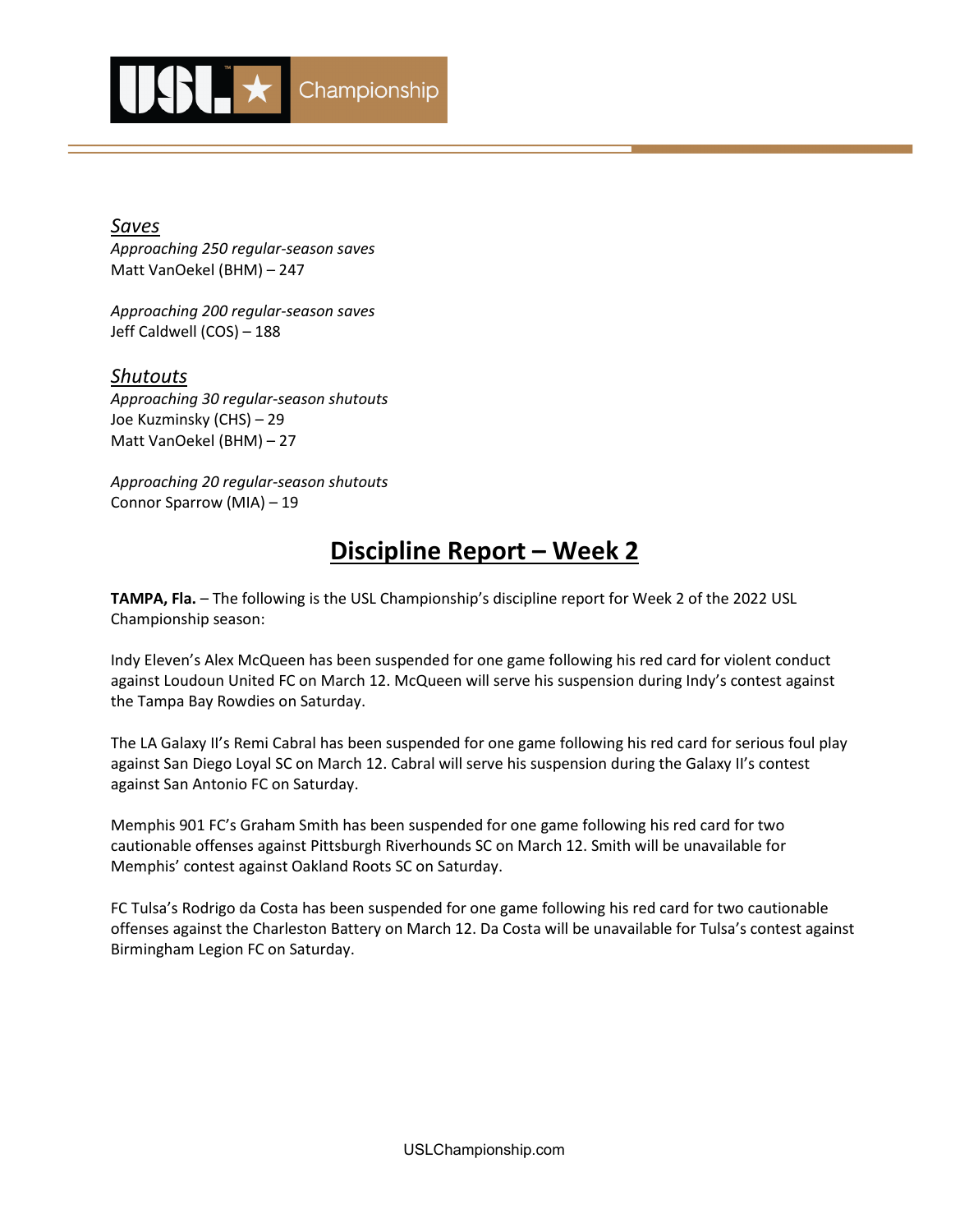

*Saves Approaching 250 regular-season saves* Matt VanOekel (BHM) – 247

*Approaching 200 regular-season saves* Jeff Caldwell (COS) – 188

*Shutouts Approaching 30 regular-season shutouts* Joe Kuzminsky (CHS) – 29 Matt VanOekel (BHM) – 27

*Approaching 20 regular-season shutouts* Connor Sparrow (MIA) – 19

# **Discipline Report – Week 2**

**TAMPA, Fla.** – The following is the USL Championship's discipline report for Week 2 of the 2022 USL Championship season:

Indy Eleven's Alex McQueen has been suspended for one game following his red card for violent conduct against Loudoun United FC on March 12. McQueen will serve his suspension during Indy's contest against the Tampa Bay Rowdies on Saturday.

The LA Galaxy II's Remi Cabral has been suspended for one game following his red card for serious foul play against San Diego Loyal SC on March 12. Cabral will serve his suspension during the Galaxy II's contest against San Antonio FC on Saturday.

Memphis 901 FC's Graham Smith has been suspended for one game following his red card for two cautionable offenses against Pittsburgh Riverhounds SC on March 12. Smith will be unavailable for Memphis' contest against Oakland Roots SC on Saturday.

FC Tulsa's Rodrigo da Costa has been suspended for one game following his red card for two cautionable offenses against the Charleston Battery on March 12. Da Costa will be unavailable for Tulsa's contest against Birmingham Legion FC on Saturday.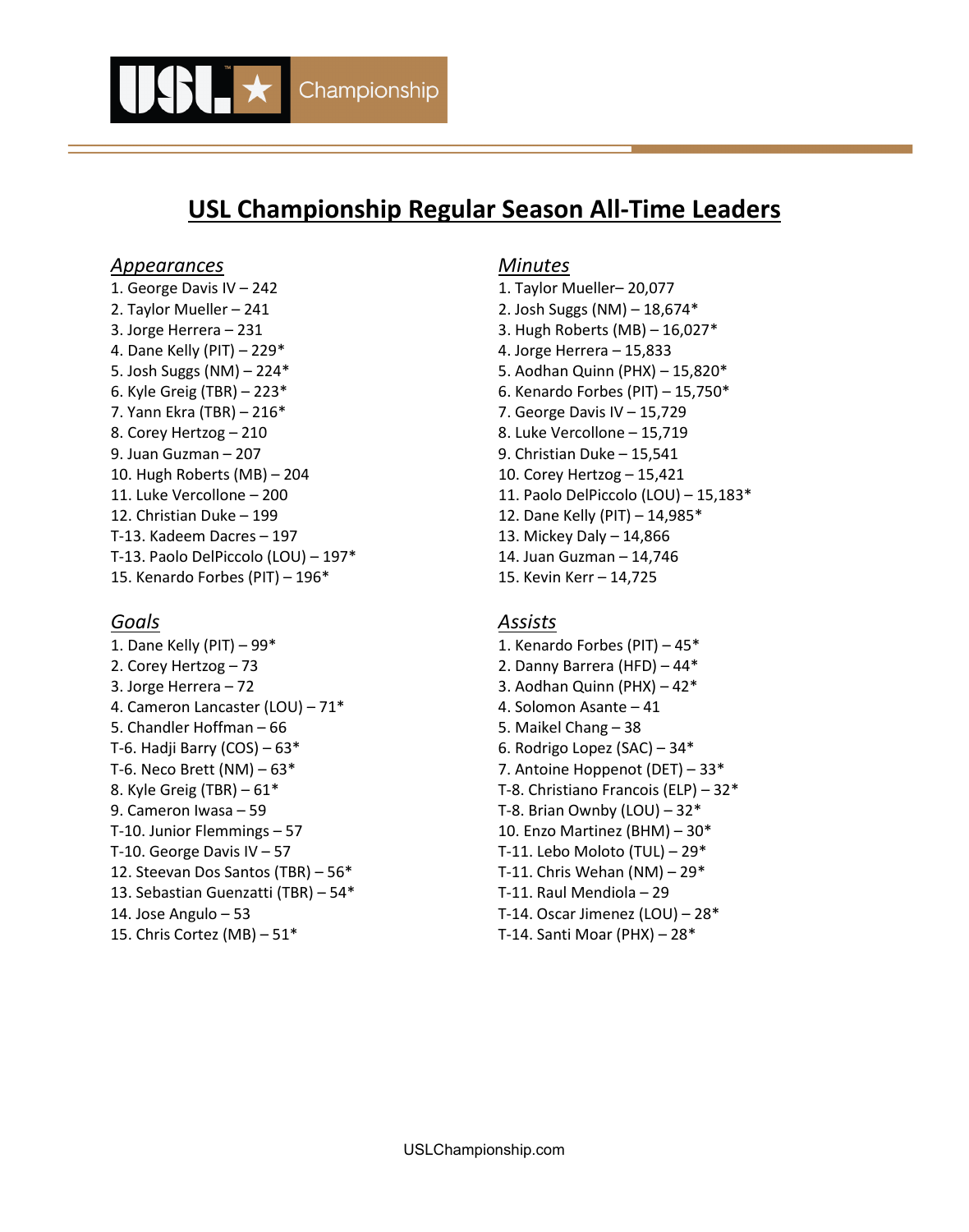

# **USL Championship Regular Season All-Time Leaders**

#### *Appearances Minutes*

1. George Davis IV – 242 1. Taylor Mueller– 20,077 2. Taylor Mueller – 241 2. Josh Suggs (NM) – 18,674\* 3. Jorge Herrera – 231 3. Hugh Roberts (MB) – 16,027\* 4. Dane Kelly (PIT) – 229\* 4. Jorge Herrera – 15,833 5. Josh Suggs (NM) – 224\* 5. Aodhan Quinn (PHX) – 15,820\* 6. Kyle Greig (TBR) – 223\* 6. Kenardo Forbes (PIT) – 15,750\* 7. Yann Ekra (TBR) – 216\* 7. George Davis IV – 15,729 8. Corey Hertzog – 210 and the set of the Second State Vercollone – 15,719 9. Juan Guzman – 207 9. Christian Duke – 15,541 10. Hugh Roberts (MB) – 204 10. Corey Hertzog – 15,421 12. Christian Duke – 199 12. Dane Kelly (PIT) – 14,985\* T-13. Kadeem Dacres – 197 13. Mickey Daly – 14,866 T-13. Paolo DelPiccolo (LOU) – 197\* 14. Juan Guzman – 14,746 15. Kenardo Forbes (PIT) – 196\* 15. Kevin Kerr – 14,725

1. Dane Kelly (PIT) – 99\* 1. Kenardo Forbes (PIT) – 45\* 2. Corey Hertzog – 73 2. Danny Barrera (HFD) – 44\* 3. Jorge Herrera – 72 3. Aodhan Quinn (PHX) – 42\* 4. Cameron Lancaster (LOU) – 71\* 4. Solomon Asante – 41 5. Chandler Hoffman – 66 5. Maikel Chang – 38 T-6. Hadji Barry  $(COS) - 63*$  6. Rodrigo Lopez  $(SAC) - 34*$ T-6. Neco Brett (NM) – 63\* 7. Antoine Hoppenot (DET) – 33\* 8. Kyle Greig (TBR) – 61\* T-8. Christiano Francois (ELP) – 32\* 9. Cameron Iwasa – 59 T-8. Brian Ownby (LOU) – 32\* T-10. Junior Flemmings  $-57$  10. Enzo Martinez (BHM)  $-30*$ T-10. George Davis IV  $-57$  T-11. Lebo Moloto (TUL)  $-29$ \* 12. Steevan Dos Santos (TBR) – 56\* T-11. Chris Wehan (NM) – 29\* 13. Sebastian Guenzatti (TBR) – 54\* T-11. Raul Mendiola – 29 14. Jose Angulo – 53 T-14. Oscar Jimenez (LOU) – 28\* 15. Chris Cortez (MB) – 51\* T-14. Santi Moar (PHX) – 28\*

11. Luke Vercollone – 200 11. Paolo DelPiccolo (LOU) – 15,183\*

### *Goals Assists*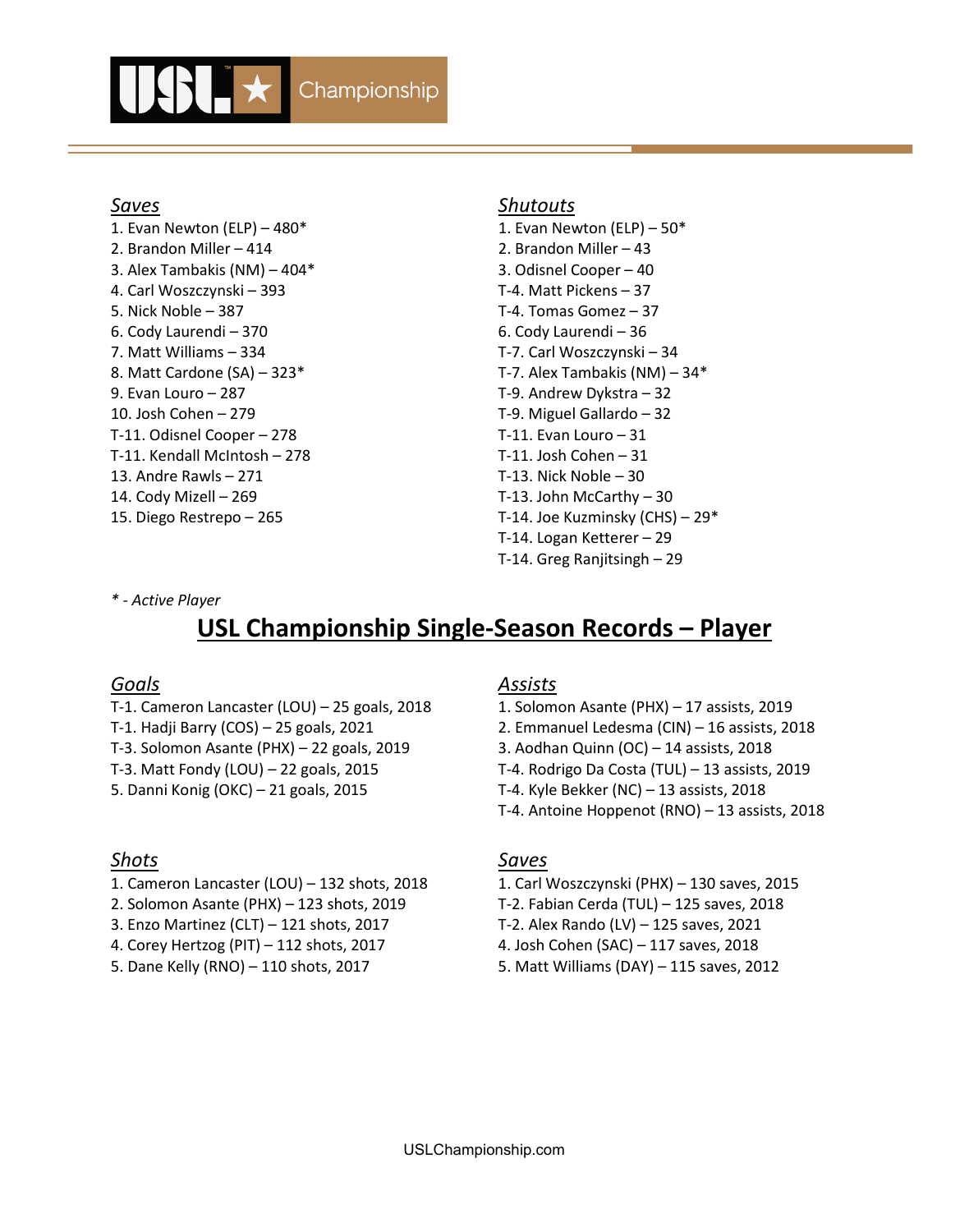

1. Evan Newton (ELP) – 480\* 1. Evan Newton (ELP) – 50\* 2. Brandon Miller – 414 2. Brandon Miller – 43 3. Alex Tambakis (NM) – 404\* 3. Odisnel Cooper – 40 4. Carl Woszczynski – 393 T-4. Matt Pickens – 37 5. Nick Noble – 387 T-4. Tomas Gomez – 37 6. Cody Laurendi – 370 6. Cody Laurendi – 36 7. Matt Williams – 334 T-7. Carl Woszczynski – 34 8. Matt Cardone (SA) – 323\* T-7. Alex Tambakis (NM) – 34\* 9. Evan Louro – 287 T-9. Andrew Dykstra – 32 10. Josh Cohen – 279 T-9. Miguel Gallardo – 32 T-11. Odisnel Cooper – 278 T-11. Evan Louro – 31 T-11. Kendall McIntosh – 278 T-11. Josh Cohen – 31 13. Andre Rawls – 271 T-13. Nick Noble – 30 14. Cody Mizell – 269 T-13. John McCarthy – 30

#### *Saves Shutouts*

15. Diego Restrepo – 265 T-14. Joe Kuzminsky (CHS) – 29\* T-14. Logan Ketterer – 29 T-14. Greg Ranjitsingh – 29

#### *\* - Active Player*

# **USL Championship Single-Season Records – Player**

- T-1. Cameron Lancaster (LOU) 25 goals, 2018 1. Solomon Asante (PHX) 17 assists, 2019 T-1. Hadji Barry (COS) – 25 goals, 2021 2. Emmanuel Ledesma (CIN) – 16 assists, 2018 T-3. Solomon Asante (PHX) – 22 goals, 2019 3. Aodhan Quinn (OC) – 14 assists, 2018
- 

- 1. Cameron Lancaster (LOU) 132 shots, 2018 1. Carl Woszczynski (PHX) 130 saves, 2015
- 2. Solomon Asante (PHX) 123 shots, 2019 T-2. Fabian Cerda (TUL) 125 saves, 2018
- 3. Enzo Martinez (CLT) 121 shots, 2017 T-2. Alex Rando (LV) 125 saves, 2021
- 4. Corey Hertzog (PIT) 112 shots, 2017 4. Josh Cohen (SAC) 117 saves, 2018
- 

## *Goals Assists*

T-3. Matt Fondy (LOU) – 22 goals, 2015 T-4. Rodrigo Da Costa (TUL) – 13 assists, 2019 5. Danni Konig (OKC) – 21 goals, 2015 T-4. Kyle Bekker (NC) – 13 assists, 2018 T-4. Antoine Hoppenot (RNO) – 13 assists, 2018

## *Shots Saves*

- 
- 
- 
- 
- 5. Dane Kelly (RNO) 110 shots, 2017 5. Matt Williams (DAY) 115 saves, 2012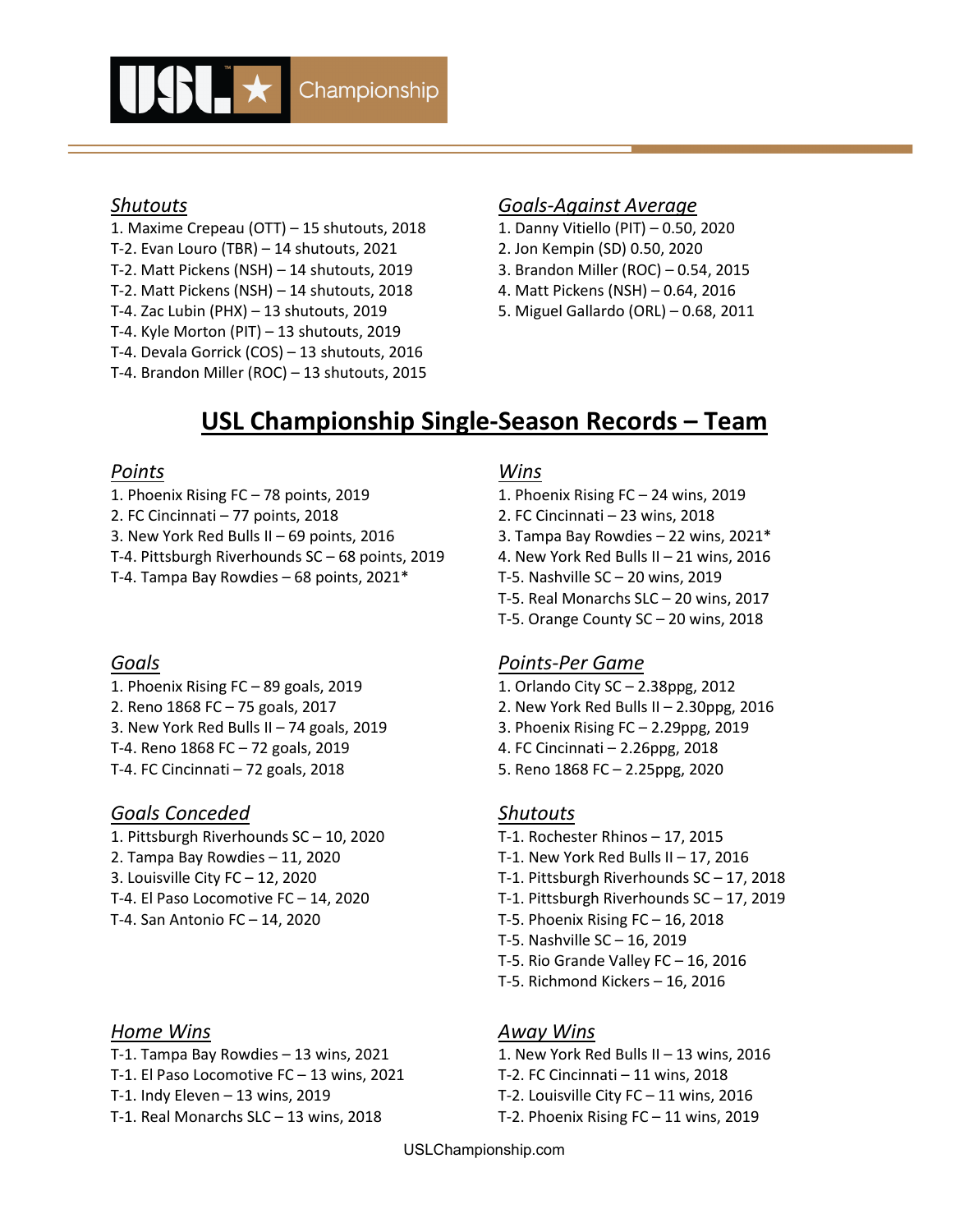

- 1. Maxime Crepeau (OTT) 15 shutouts, 2018 1. Danny Vitiello (PIT) 0.50, 2020
- T-2. Evan Louro (TBR) 14 shutouts, 2021 2. Jon Kempin (SD) 0.50, 2020
- T-2. Matt Pickens (NSH) 14 shutouts, 2019 3. Brandon Miller (ROC) 0.54, 2015
- T-2. Matt Pickens (NSH) 14 shutouts, 2018 4. Matt Pickens (NSH) 0.64, 2016
- 
- T-4. Kyle Morton (PIT) 13 shutouts, 2019
- T-4. Devala Gorrick (COS) 13 shutouts, 2016 T-4. Brandon Miller (ROC) – 13 shutouts, 2015

### *Shutouts Goals-Against Average*

- 
- 
- 
- 
- T-4. Zac Lubin (PHX) 13 shutouts, 2019 5. Miguel Gallardo (ORL) 0.68, 2011

# **USL Championship Single-Season Records – Team**

## *Points Wins*

- 1. Phoenix Rising FC 78 points, 2019 1. Phoenix Rising FC 24 wins, 2019
- 2. FC Cincinnati 77 points, 2018 2. FC Cincinnati 23 wins, 2018
- 3. New York Red Bulls II 69 points, 2016 3. Tampa Bay Rowdies 22 wins, 2021\*
- T-4. Pittsburgh Riverhounds SC 68 points, 2019 4. New York Red Bulls II 21 wins, 2016
- T-4. Tampa Bay Rowdies 68 points, 2021\* T-5. Nashville SC 20 wins, 2019

- 1. Phoenix Rising FC 89 goals, 2019 1. Orlando City SC 2.38ppg, 2012 3. New York Red Bulls II – 74 goals, 2019 3. Phoenix Rising FC – 2.29ppg, 2019 T-4. Reno 1868 FC – 72 goals, 2019 4. FC Cincinnati – 2.26ppg, 2018
- T-4. FC Cincinnati 72 goals, 2018 5. Reno 1868 FC 2.25ppg, 2020

# *Goals Conceded Shutouts*

1. Pittsburgh Riverhounds SC – 10, 2020 T-1. Rochester Rhinos – 17, 2015 2. Tampa Bay Rowdies – 11, 2020 T-1. New York Red Bulls II – 17, 2016 T-4. San Antonio FC – 14, 2020 T-5. Phoenix Rising FC – 16, 2018

## *Home Wins Away Wins*

- T-1. Tampa Bay Rowdies 13 wins, 2021  $\qquad \qquad$  1. New York Red Bulls II 13 wins, 2016
- T-1. El Paso Locomotive FC 13 wins, 2021 T-2. FC Cincinnati 11 wins, 2018
- 
- T-1. Real Monarchs SLC 13 wins, 2018 T-2. Phoenix Rising FC 11 wins, 2019

- 
- 
- 
- 
- 
- T-5. Real Monarchs SLC 20 wins, 2017
- T-5. Orange County SC 20 wins, 2018

# *Goals Points-Per Game*

- 
- 2. Reno 1868 FC 75 goals, 2017 2. New York Red Bulls II 2.30ppg, 2016
	-
	-
	-

- 
- 
- 3. Louisville City FC 12, 2020 T-1. Pittsburgh Riverhounds SC 17, 2018
- T-4. El Paso Locomotive FC 14, 2020 T-1. Pittsburgh Riverhounds SC 17, 2019
	-
	- T-5. Nashville SC 16, 2019
	- T-5. Rio Grande Valley FC 16, 2016
	- T-5. Richmond Kickers 16, 2016

- 
- 
- T-1. Indy Eleven 13 wins, 2019 T-2. Louisville City FC 11 wins, 2016
	-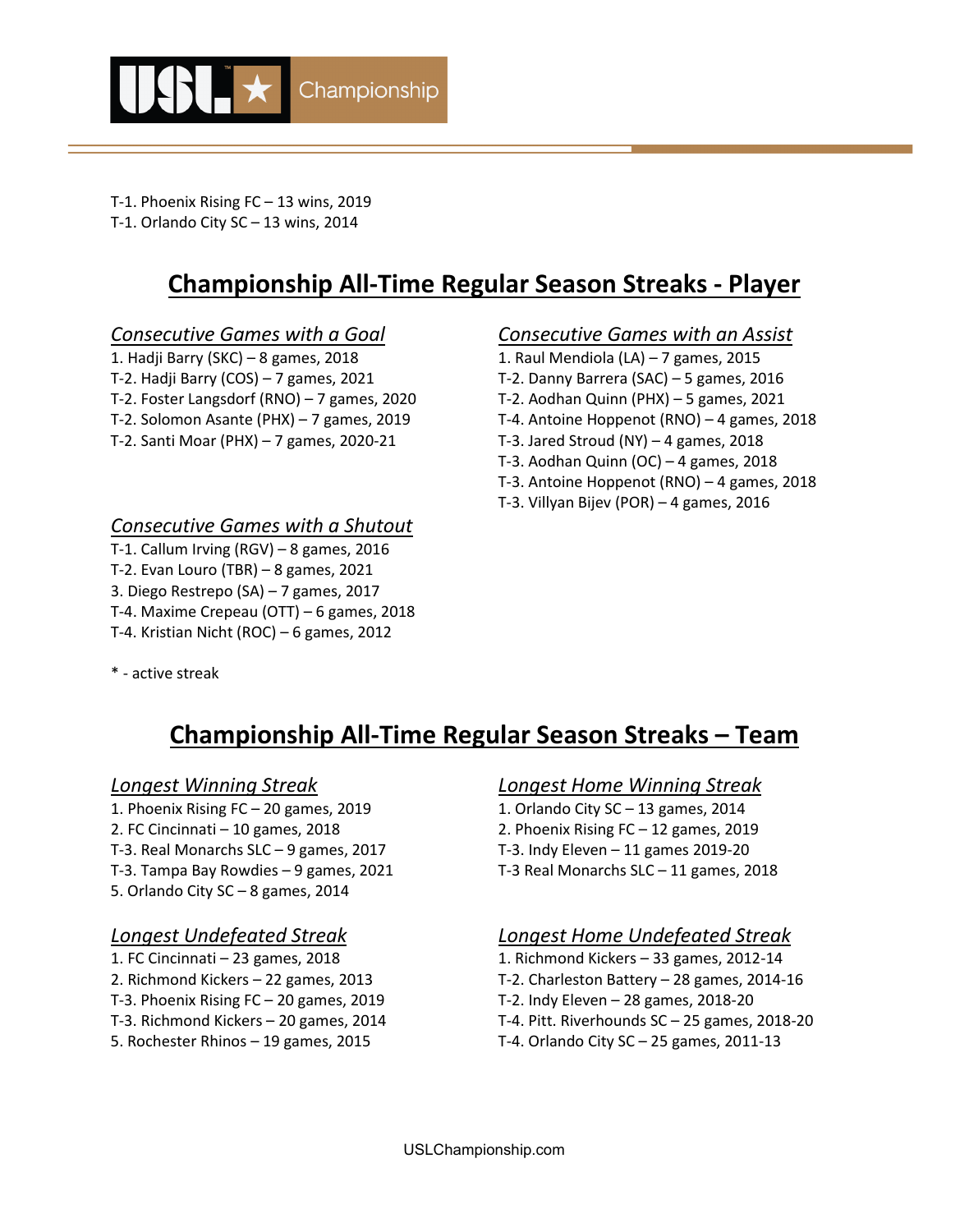

- T-1. Phoenix Rising FC 13 wins, 2019
- T-1. Orlando City SC 13 wins, 2014

# **Championship All-Time Regular Season Streaks - Player**

- 1. Hadji Barry (SKC) 8 games, 2018 1. Raul Mendiola (LA) 7 games, 2015
- 
- 
- 
- 

## *Consecutive Games with a Shutout*

- T-1. Callum Irving (RGV) 8 games, 2016
- T-2. Evan Louro (TBR) 8 games, 2021
- 3. Diego Restrepo (SA) 7 games, 2017
- T-4. Maxime Crepeau (OTT) 6 games, 2018
- T-4. Kristian Nicht (ROC) 6 games, 2012

# *Consecutive Games with a Goal Consecutive Games with an Assist*

- 
- T-2. Hadji Barry (COS) 7 games, 2021 T-2. Danny Barrera (SAC) 5 games, 2016
- T-2. Foster Langsdorf (RNO) 7 games, 2020 T-2. Aodhan Quinn (PHX) 5 games, 2021
- T-2. Solomon Asante (PHX) 7 games, 2019 T-4. Antoine Hoppenot (RNO) 4 games, 2018
- T-2. Santi Moar (PHX) 7 games, 2020-21 T-3. Jared Stroud (NY) 4 games, 2018
	- T-3. Aodhan Quinn (OC) 4 games, 2018
	- T-3. Antoine Hoppenot (RNO) 4 games, 2018
	- T-3. Villyan Bijev (POR) 4 games, 2016

\* - active streak

# **Championship All-Time Regular Season Streaks – Team**

1. Phoenix Rising FC – 20 games, 2019 1. Orlando City SC – 13 games, 2014 2. FC Cincinnati – 10 games, 2018 2. Phoenix Rising FC – 12 games, 2019 T-3. Real Monarchs SLC – 9 games, 2017 T-3. Indy Eleven – 11 games 2019-20 T-3. Tampa Bay Rowdies – 9 games, 2021 T-3 Real Monarchs SLC – 11 games, 2018 5. Orlando City SC – 8 games, 2014

- 
- 
- 
- 
- 

## *Longest Winning Streak Longest Home Winning Streak*

- 
- 
- 
- 

# *Longest Undefeated Streak Longest Home Undefeated Streak*

- 1. FC Cincinnati 23 games, 2018 1. Richmond Kickers 33 games, 2012-14
- 2. Richmond Kickers 22 games, 2013 T-2. Charleston Battery 28 games, 2014-16
- T-3. Phoenix Rising FC 20 games, 2019 T-2. Indy Eleven 28 games, 2018-20
- T-3. Richmond Kickers 20 games, 2014 T-4. Pitt. Riverhounds SC 25 games, 2018-20
- 5. Rochester Rhinos 19 games, 2015 T-4. Orlando City SC 25 games, 2011-13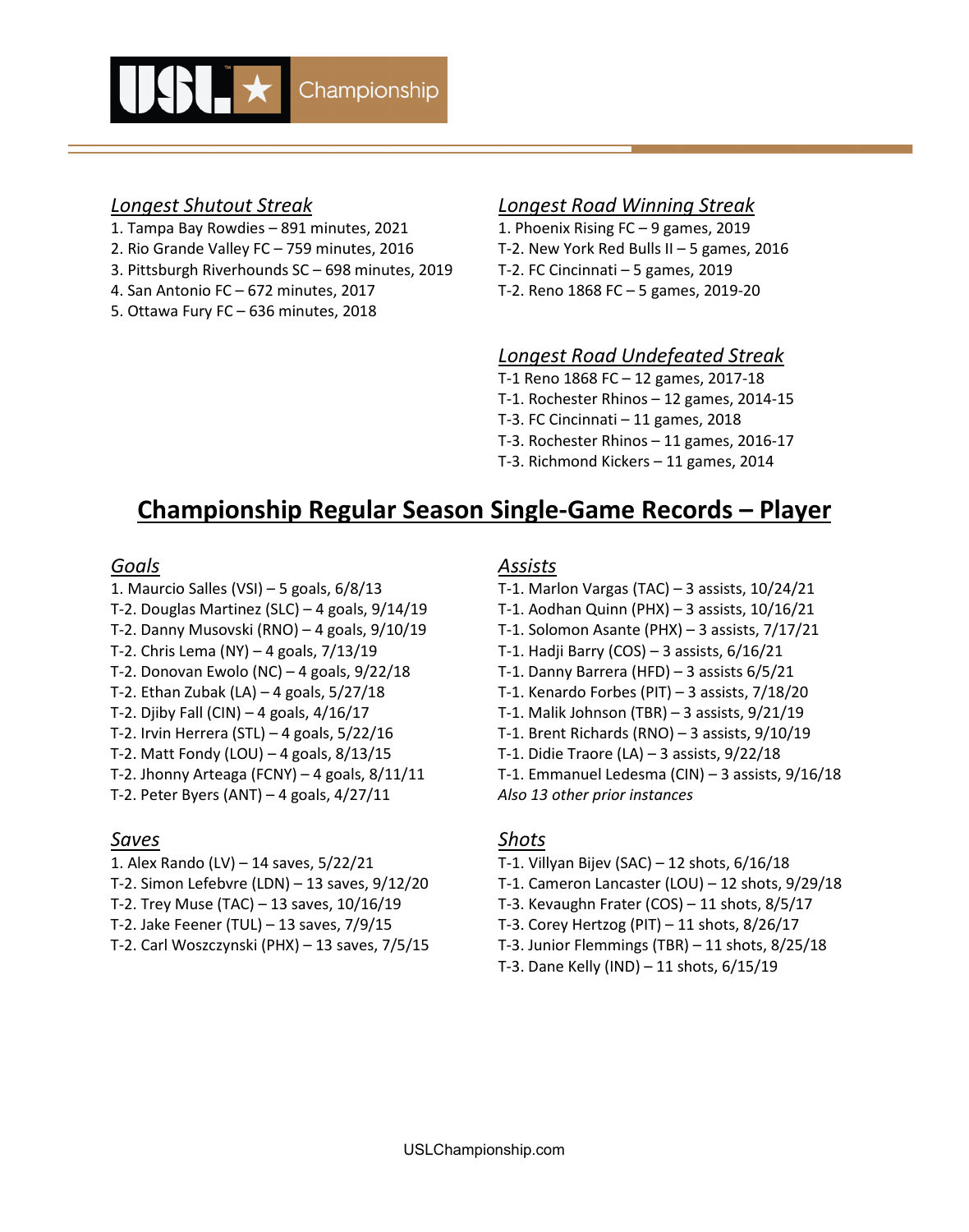

- 1. Tampa Bay Rowdies 891 minutes, 2021 1. Phoenix Rising FC 9 games, 2019
- 2. Rio Grande Valley FC 759 minutes, 2016 T-2. New York Red Bulls II 5 games, 2016
- 3. Pittsburgh Riverhounds SC 698 minutes, 2019 T-2. FC Cincinnati 5 games, 2019
- 4. San Antonio FC 672 minutes, 2017 T-2. Reno 1868 FC 5 games, 2019-20
- 5. Ottawa Fury FC 636 minutes, 2018

### *Longest Shutout Streak Longest Road Winning Streak*

## *Longest Road Undefeated Streak*

- T-1 Reno 1868 FC 12 games, 2017-18
- T-1. Rochester Rhinos 12 games, 2014-15
- T-3. FC Cincinnati 11 games, 2018
- T-3. Rochester Rhinos 11 games, 2016-17
- T-3. Richmond Kickers 11 games, 2014

# **Championship Regular Season Single-Game Records – Player**

- 
- 
- 
- 
- T-2. Donovan Ewolo (NC) 4 goals, 9/22/18 T-1. Danny Barrera (HFD) 3 assists 6/5/21
- 
- 
- 
- T-2. Matt Fondy (LOU) 4 goals, 8/13/15 T-1. Didie Traore (LA) 3 assists, 9/22/18
- 
- T-2. Peter Byers (ANT) 4 goals, 4/27/11 *Also 13 other prior instances*

## *Saves Shots*

- 
- 
- 
- 
- 

#### *Goals Assists*

- 1. Maurcio Salles (VSI) 5 goals, 6/8/13 T-1. Marlon Vargas (TAC) 3 assists, 10/24/21
- T-2. Douglas Martinez (SLC) 4 goals, 9/14/19 T-1. Aodhan Quinn (PHX) 3 assists, 10/16/21
- T-2. Danny Musovski (RNO) 4 goals, 9/10/19 T-1. Solomon Asante (PHX) 3 assists, 7/17/21
- T-2. Chris Lema (NY) 4 goals, 7/13/19 T-1. Hadji Barry (COS) 3 assists, 6/16/21
	-
- T-2. Ethan Zubak (LA) 4 goals, 5/27/18 T-1. Kenardo Forbes (PIT) 3 assists, 7/18/20
- T-2. Djiby Fall (CIN) 4 goals, 4/16/17 T-1. Malik Johnson (TBR) 3 assists, 9/21/19
- T-2. Irvin Herrera (STL) 4 goals, 5/22/16 T-1. Brent Richards (RNO) 3 assists, 9/10/19
	-
- T-2. Jhonny Arteaga (FCNY) 4 goals, 8/11/11 T-1. Emmanuel Ledesma (CIN) 3 assists, 9/16/18
	-

- 1. Alex Rando (LV) 14 saves, 5/22/21 T-1. Villyan Bijev (SAC) 12 shots, 6/16/18
- T-2. Simon Lefebvre (LDN) 13 saves, 9/12/20 T-1. Cameron Lancaster (LOU) 12 shots, 9/29/18
- T-2. Trey Muse (TAC) 13 saves, 10/16/19 T-3. Kevaughn Frater (COS) 11 shots, 8/5/17
- T-2. Jake Feener (TUL) 13 saves, 7/9/15 T-3. Corey Hertzog (PIT) 11 shots, 8/26/17
- T-2. Carl Woszczynski (PHX) 13 saves, 7/5/15 T-3. Junior Flemmings (TBR) 11 shots, 8/25/18
	- T-3. Dane Kelly (IND) 11 shots, 6/15/19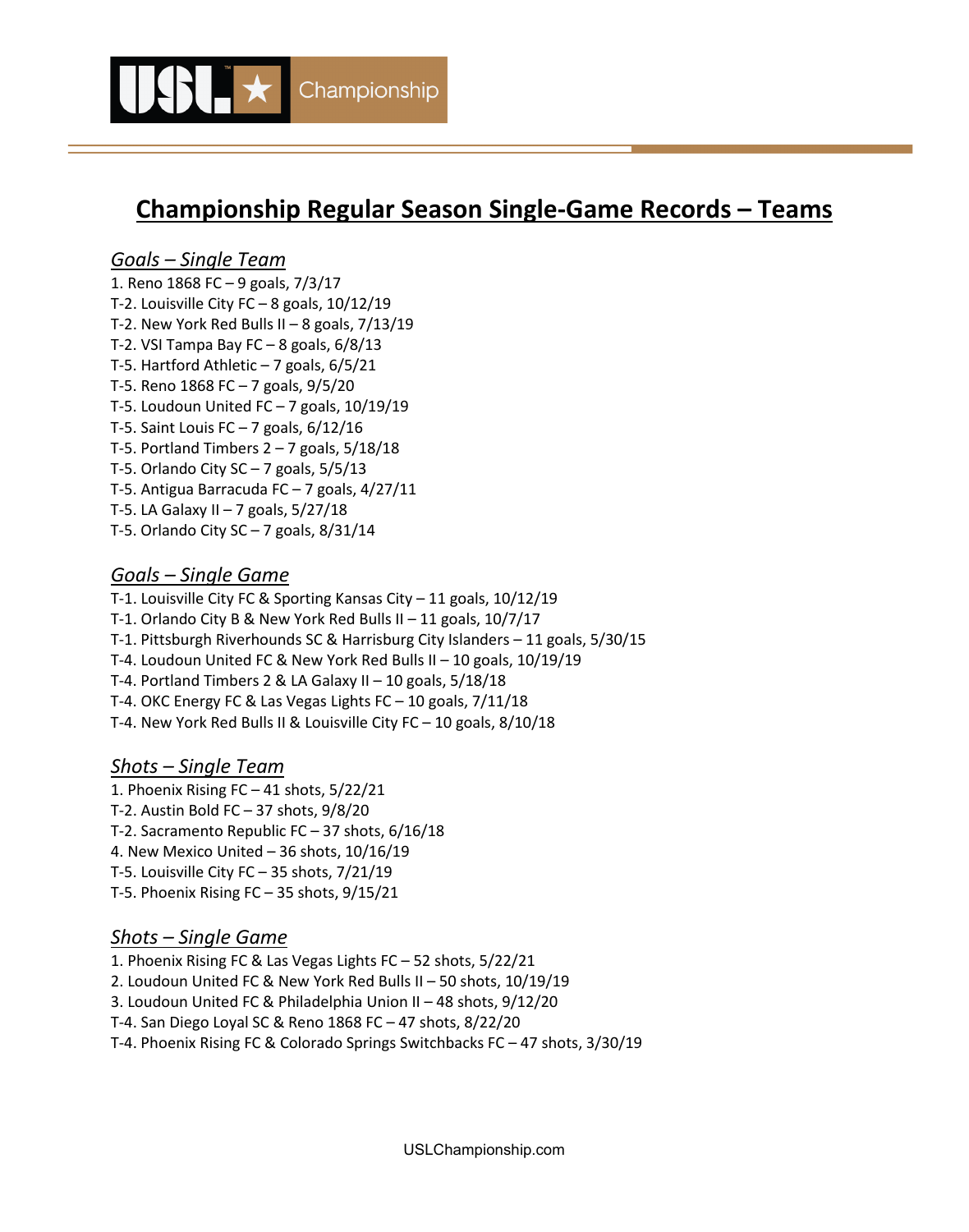

# **Championship Regular Season Single-Game Records – Teams**

## *Goals – Single Team*

1. Reno 1868 FC – 9 goals, 7/3/17 T-2. Louisville City  $FC - 8$  goals,  $10/12/19$ T-2. New York Red Bulls II – 8 goals, 7/13/19 T-2. VSI Tampa Bay FC – 8 goals, 6/8/13 T-5. Hartford Athletic  $-7$  goals,  $6/5/21$ T-5. Reno 1868 FC – 7 goals, 9/5/20 T-5. Loudoun United FC  $-7$  goals,  $10/19/19$ T-5. Saint Louis FC – 7 goals, 6/12/16 T-5. Portland Timbers  $2 - 7$  goals,  $5/18/18$ T-5. Orlando City  $SC - 7$  goals,  $5/5/13$ T-5. Antigua Barracuda FC – 7 goals, 4/27/11 T-5. LA Galaxy II – 7 goals, 5/27/18

T-5. Orlando City SC – 7 goals, 8/31/14

## *Goals – Single Game*

T-1. Louisville City FC & Sporting Kansas City – 11 goals, 10/12/19

T-1. Orlando City B & New York Red Bulls II – 11 goals, 10/7/17

T-1. Pittsburgh Riverhounds SC & Harrisburg City Islanders – 11 goals, 5/30/15

T-4. Loudoun United FC & New York Red Bulls II – 10 goals, 10/19/19

T-4. Portland Timbers 2 & LA Galaxy II – 10 goals, 5/18/18

T-4. OKC Energy FC & Las Vegas Lights FC – 10 goals, 7/11/18

T-4. New York Red Bulls II & Louisville City FC – 10 goals, 8/10/18

### *Shots – Single Team*

1. Phoenix Rising FC – 41 shots, 5/22/21 T-2. Austin Bold FC – 37 shots, 9/8/20 T-2. Sacramento Republic FC – 37 shots, 6/16/18 4. New Mexico United – 36 shots, 10/16/19 T-5. Louisville City FC – 35 shots, 7/21/19

T-5. Phoenix Rising FC – 35 shots, 9/15/21

## *Shots – Single Game*

1. Phoenix Rising FC & Las Vegas Lights FC – 52 shots, 5/22/21

2. Loudoun United FC & New York Red Bulls II – 50 shots, 10/19/19

3. Loudoun United FC & Philadelphia Union II – 48 shots, 9/12/20

T-4. San Diego Loyal SC & Reno 1868 FC – 47 shots, 8/22/20

T-4. Phoenix Rising FC & Colorado Springs Switchbacks FC – 47 shots, 3/30/19

USLChampionship.com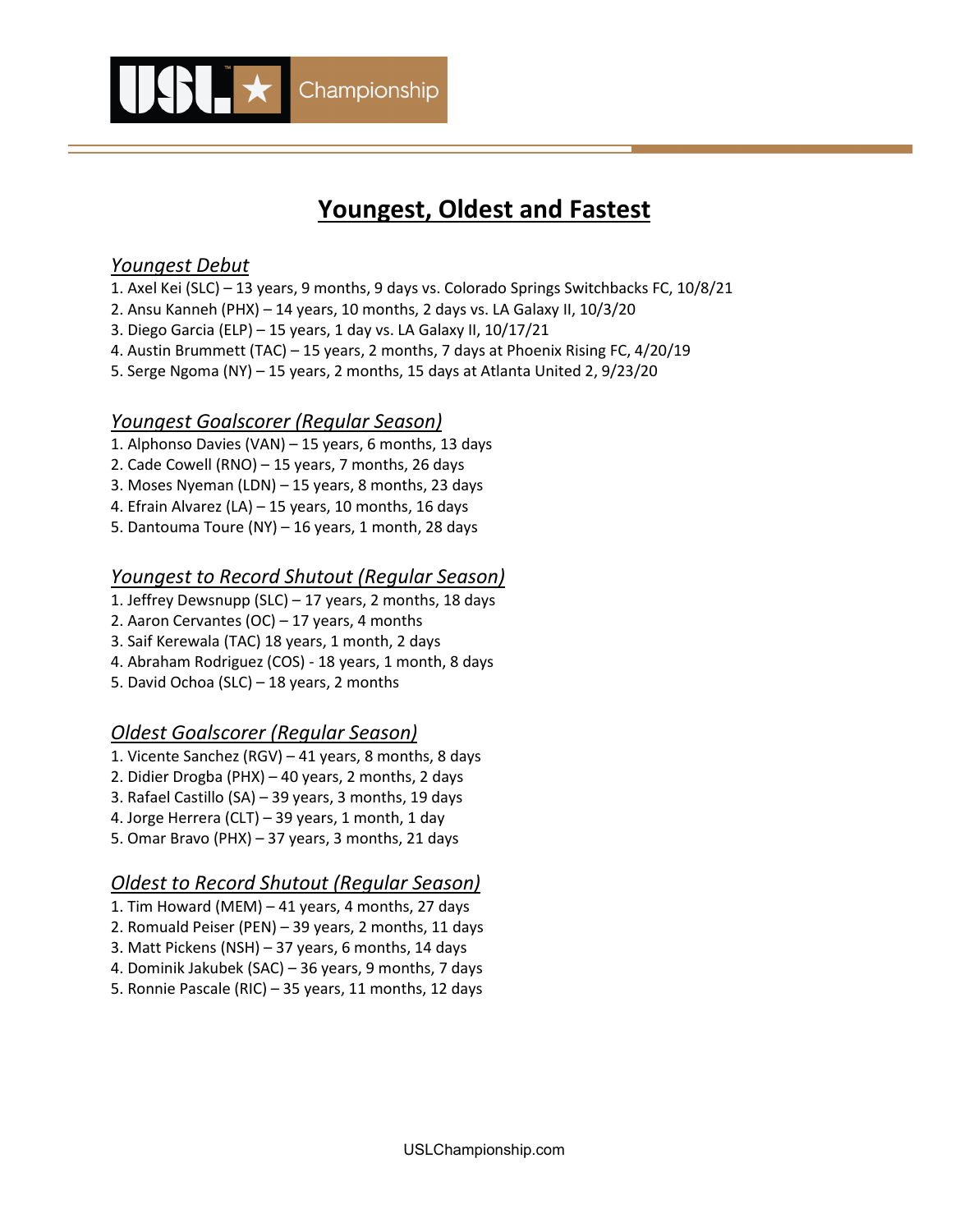

# **Youngest, Oldest and Fastest**

## *Youngest Debut*

- 1. Axel Kei (SLC) 13 years, 9 months, 9 days vs. Colorado Springs Switchbacks FC, 10/8/21
- 2. Ansu Kanneh (PHX) 14 years, 10 months, 2 days vs. LA Galaxy II, 10/3/20
- 3. Diego Garcia (ELP) 15 years, 1 day vs. LA Galaxy II, 10/17/21
- 4. Austin Brummett (TAC) 15 years, 2 months, 7 days at Phoenix Rising FC, 4/20/19
- 5. Serge Ngoma (NY) 15 years, 2 months, 15 days at Atlanta United 2, 9/23/20

## *Youngest Goalscorer (Regular Season)*

- 1. Alphonso Davies (VAN) 15 years, 6 months, 13 days
- 2. Cade Cowell (RNO) 15 years, 7 months, 26 days
- 3. Moses Nyeman (LDN) 15 years, 8 months, 23 days
- 4. Efrain Alvarez (LA) 15 years, 10 months, 16 days
- 5. Dantouma Toure (NY) 16 years, 1 month, 28 days

## *Youngest to Record Shutout (Regular Season)*

- 1. Jeffrey Dewsnupp (SLC) 17 years, 2 months, 18 days
- 2. Aaron Cervantes (OC) 17 years, 4 months
- 3. Saif Kerewala (TAC) 18 years, 1 month, 2 days
- 4. Abraham Rodriguez (COS) 18 years, 1 month, 8 days
- 5. David Ochoa (SLC) 18 years, 2 months

## *Oldest Goalscorer (Regular Season)*

- 1. Vicente Sanchez (RGV) 41 years, 8 months, 8 days
- 2. Didier Drogba (PHX) 40 years, 2 months, 2 days
- 3. Rafael Castillo (SA) 39 years, 3 months, 19 days
- 4. Jorge Herrera (CLT) 39 years, 1 month, 1 day
- 5. Omar Bravo (PHX) 37 years, 3 months, 21 days

## *Oldest to Record Shutout (Regular Season)*

- 1. Tim Howard (MEM) 41 years, 4 months, 27 days
- 2. Romuald Peiser (PEN) 39 years, 2 months, 11 days
- 3. Matt Pickens (NSH) 37 years, 6 months, 14 days
- 4. Dominik Jakubek (SAC) 36 years, 9 months, 7 days
- 5. Ronnie Pascale (RIC) 35 years, 11 months, 12 days